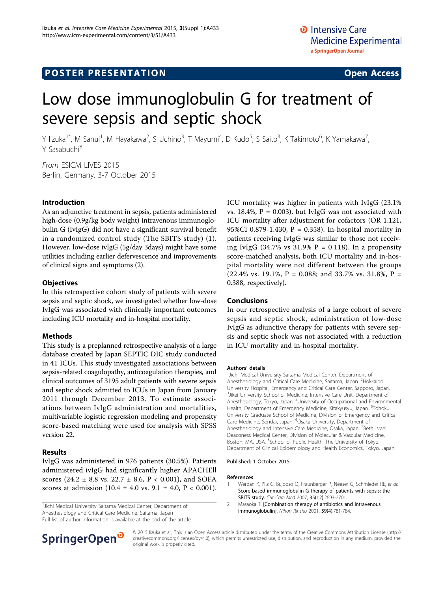# **POSTER PRESENTATION CONSUMING ACCESS**

# Low dose immunoglobulin G for treatment of severe sepsis and septic shock

Y lizuka<sup>1\*</sup>, M Sanui<sup>1</sup>, M Hayakawa<sup>2</sup>, S Uchino<sup>3</sup>, T Mayumi<sup>4</sup>, D Kudo<sup>5</sup>, S Saito<sup>3</sup>, K Takimoto<sup>6</sup>, K Yamakawa<sup>7</sup> , Y Sasabuchi<sup>8</sup>

From ESICM LIVES 2015 Berlin, Germany. 3-7 October 2015

#### Introduction

As an adjunctive treatment in sepsis, patients administered high-dose (0.9g/kg body weight) intravenous immunoglobulin G (IvIgG) did not have a significant survival benefit in a randomized control study (The SBITS study) (1). However, low-dose ivIgG (5g/day 3days) might have some utilities including earlier defervescence and improvements of clinical signs and symptoms (2).

#### **Objectives**

In this retrospective cohort study of patients with severe sepsis and septic shock, we investigated whether low-dose IvIgG was associated with clinically important outcomes including ICU mortality and in-hospital mortality.

#### Methods

This study is a preplanned retrospective analysis of a large database created by Japan SEPTIC DIC study conducted in 41 ICUs. This study investigated associations between sepsis-related coagulopathy, anticoagulation therapies, and clinical outcomes of 3195 adult patients with severe sepsis and septic shock admitted to ICUs in Japan from January 2011 through December 2013. To estimate associations between IvIgG administration and mortalities, multivariable logistic regression modeling and propensity score-based matching were used for analysis with SPSS version 22.

### Results

IvIgG was administered in 976 patients (30.5%). Patients administered ivIgG had significantly higher APACHEⅡ scores (24.2  $\pm$  8.8 vs. 22.7  $\pm$  8.6, P < 0.001), and SOFA scores at admission  $(10.4 \pm 4.0 \text{ vs. } 9.1 \pm 4.0, P < 0.001)$ .

<sup>1</sup> Jichi Medical University Saitama Medical Center, Department of Anesthesiology and Critical Care Medicine, Saitama, Japan

Full list of author information is available at the end of the article

SpringerOpen<sup>®</sup>

ICU mortality was higher in patients with IvIgG (23.1% vs. 18.4%,  $P = 0.003$ ), but IvIgG was not associated with ICU mortality after adjustment for cofactors (OR 1.121, 95%CI 0.879-1.430, P = 0.358). In-hospital mortality in patients receiving IvIgG was similar to those not receiving IvIgG (34.7% vs 31.9%  $P = 0.118$ ). In a propensity score-matched analysis, both ICU mortality and in-hospital mortality were not different between the groups  $(22.4\% \text{ vs. } 19.1\%, P = 0.088; \text{ and } 33.7\% \text{ vs. } 31.8\%, P =$ 0.388, respectively).

### Conclusions

In our retrospective analysis of a large cohort of severe sepsis and septic shock, administration of low-dose IvIgG as adjunctive therapy for patients with severe sepsis and septic shock was not associated with a reduction in ICU mortality and in-hospital mortality.

#### Authors' details <sup>1</sup>

<sup>1</sup>Jichi Medical University Saitama Medical Center, Department of Anesthesiology and Critical Care Medicine, Saitama, Japan. <sup>2</sup>Hokkaido University Hospital, Emergency and Critical Care Center, Sapporo, Japan. <sup>3</sup> Jikei University School of Medicine, Intensive Care Unit, Department of Anesthesiology, Tokyo, Japan. <sup>4</sup>University of Occupational and Environmental Health, Department of Emergency Medicine, Kitakyusyu, Japan. <sup>5</sup>Tohoku University Graduate School of Medicine, Division of Emergency and Critical Care Medicine, Sendai, Japan. <sup>6</sup>Osaka University, Department of Anesthesiology and Intensive Care Medicine, Osaka, Japan. <sup>7</sup>Beth Israel Deaconess Medical Center, Division of Molecular & Vascular Medicine, Boston, MA, USA. <sup>8</sup>School of Public Health, The University of Tokyo, Department of Clinical Epidemiology and Health Economics, Tokyo, Japan.

Published: 1 October 2015

#### References

- 1. Werdan K, Pilz G, Bujdoso O, Fraunberger P, Neeser G, Schmieder RE, et al: [Score-based immunoglobulin G therapy of patients with sepsis: the](http://www.ncbi.nlm.nih.gov/pubmed/18074471?dopt=Abstract) [SBITS study.](http://www.ncbi.nlm.nih.gov/pubmed/18074471?dopt=Abstract) Crit Care Med 2007, 35(12):2693-2701.
- 2. Masaoka T: [Combination therapy of antibiotics and intravenous immunoglobulin]. Nihon Rinsho 2001, 59(4):781-784.

© 2015 Iizuka et al.; This is an Open Access article distributed under the terms of the Creative Commons Attribution License [\(http://](http://creativecommons.org/licenses/by/4.0) [creativecommons.org/licenses/by/4.0](http://creativecommons.org/licenses/by/4.0)), which permits unrestricted use, distribution, and reproduction in any medium, provided the original work is properly cited.